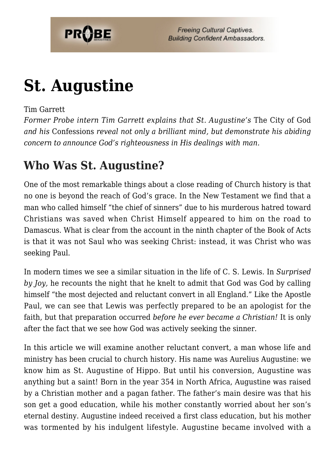

# **[St. Augustine](https://probe.org/st-augustine/)**

#### Tim Garrett

*Former Probe intern Tim Garrett explains that St. Augustine's* The City of God *and his* Confessions *reveal not only a brilliant mind, but demonstrate his abiding concern to announce God's righteousness in His dealings with man.*

### **Who Was St. Augustine?**

One of the most remarkable things about a close reading of Church history is that no one is beyond the reach of God's grace. In the New Testament we find that a man who called himself "the chief of sinners" due to his murderous hatred toward Christians was saved when Christ Himself appeared to him on the road to Damascus. What is clear from the account in the ninth chapter of the Book of Acts is that it was not Saul who was seeking Christ: instead, it was Christ who was seeking Paul.

In modern times we see a similar situation in the life of C. S. Lewis. In *Surprised by Joy,* he recounts the night that he knelt to admit that God was God by calling himself "the most dejected and reluctant convert in all England." Like the Apostle Paul, we can see that Lewis was perfectly prepared to be an apologist for the faith, but that preparation occurred *before he ever became a Christian!* It is only after the fact that we see how God was actively seeking the sinner.

In this article we will examine another reluctant convert, a man whose life and ministry has been crucial to church history. His name was Aurelius Augustine: we know him as St. Augustine of Hippo. But until his conversion, Augustine was anything but a saint! Born in the year 354 in North Africa, Augustine was raised by a Christian mother and a pagan father. The father's main desire was that his son get a good education, while his mother constantly worried about her son's eternal destiny. Augustine indeed received a first class education, but his mother was tormented by his indulgent lifestyle. Augustine became involved with a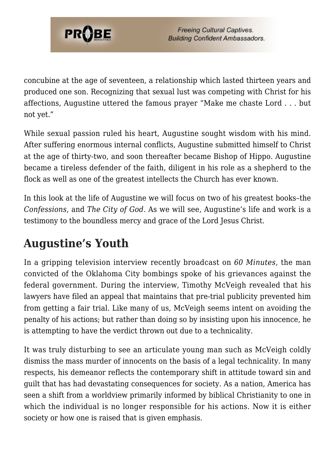

concubine at the age of seventeen, a relationship which lasted thirteen years and produced one son. Recognizing that sexual lust was competing with Christ for his affections, Augustine uttered the famous prayer "Make me chaste Lord . . . but not yet."

While sexual passion ruled his heart, Augustine sought wisdom with his mind. After suffering enormous internal conflicts, Augustine submitted himself to Christ at the age of thirty-two, and soon thereafter became Bishop of Hippo. Augustine became a tireless defender of the faith, diligent in his role as a shepherd to the flock as well as one of the greatest intellects the Church has ever known.

In this look at the life of Augustine we will focus on two of his greatest books–the *Confessions*, and *The City of God*. As we will see, Augustine's life and work is a testimony to the boundless mercy and grace of the Lord Jesus Christ.

# **Augustine's Youth**

In a gripping television interview recently broadcast on *60 Minutes,* the man convicted of the Oklahoma City bombings spoke of his grievances against the federal government. During the interview, Timothy McVeigh revealed that his lawyers have filed an appeal that maintains that pre-trial publicity prevented him from getting a fair trial. Like many of us, McVeigh seems intent on avoiding the penalty of his actions; but rather than doing so by insisting upon his innocence, he is attempting to have the verdict thrown out due to a technicality.

It was truly disturbing to see an articulate young man such as McVeigh coldly dismiss the mass murder of innocents on the basis of a legal technicality. In many respects, his demeanor reflects the contemporary shift in attitude toward sin and guilt that has had devastating consequences for society. As a nation, America has seen a shift from a worldview primarily informed by biblical Christianity to one in which the individual is no longer responsible for his actions. Now it is either society or how one is raised that is given emphasis.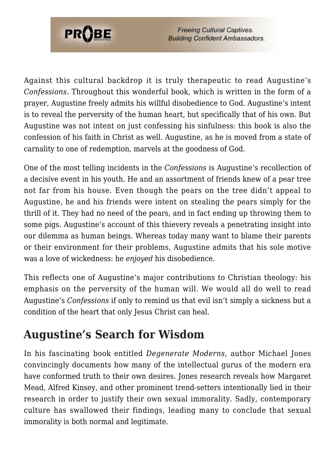

**Freeing Cultural Captives. Building Confident Ambassadors.** 

Against this cultural backdrop it is truly therapeutic to read Augustine's *Confessions.* Throughout this wonderful book, which is written in the form of a prayer, Augustine freely admits his willful disobedience to God. Augustine's intent is to reveal the perversity of the human heart, but specifically that of his own. But Augustine was not intent on just confessing his sinfulness: this book is also the confession of his faith in Christ as well. Augustine, as he is moved from a state of carnality to one of redemption, marvels at the goodness of God.

One of the most telling incidents in the *Confessions* is Augustine's recollection of a decisive event in his youth. He and an assortment of friends knew of a pear tree not far from his house. Even though the pears on the tree didn't appeal to Augustine, he and his friends were intent on stealing the pears simply for the thrill of it. They had no need of the pears, and in fact ending up throwing them to some pigs. Augustine's account of this thievery reveals a penetrating insight into our dilemma as human beings. Whereas today many want to blame their parents or their environment for their problems, Augustine admits that his sole motive was a love of wickedness: he *enjoyed* his disobedience.

This reflects one of Augustine's major contributions to Christian theology: his emphasis on the perversity of the human will. We would all do well to read Augustine's *Confessions* if only to remind us that evil isn't simply a sickness but a condition of the heart that only Jesus Christ can heal.

#### **Augustine's Search for Wisdom**

In his fascinating book entitled *Degenerate Moderns,* author Michael Jones convincingly documents how many of the intellectual gurus of the modern era have conformed truth to their own desires. Jones research reveals how Margaret Mead, Alfred Kinsey, and other prominent trend-setters intentionally lied in their research in order to justify their own sexual immorality. Sadly, contemporary culture has swallowed their findings, leading many to conclude that sexual immorality is both normal and legitimate.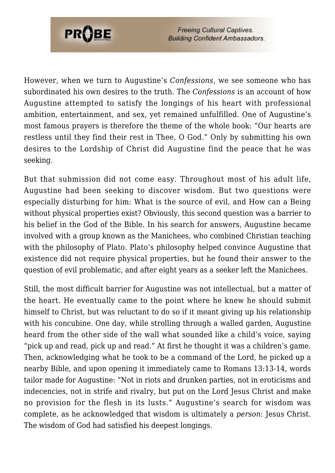

**Freeing Cultural Captives. Building Confident Ambassadors.** 

However, when we turn to Augustine's *Confessions,* we see someone who has subordinated his own desires to the truth. The *Confessions* is an account of how Augustine attempted to satisfy the longings of his heart with professional ambition, entertainment, and sex, yet remained unfulfilled. One of Augustine's most famous prayers is therefore the theme of the whole book: "Our hearts are restless until they find their rest in Thee, O God." Only by submitting his own desires to the Lordship of Christ did Augustine find the peace that he was seeking.

But that submission did not come easy. Throughout most of his adult life, Augustine had been seeking to discover wisdom. But two questions were especially disturbing for him: What is the source of evil, and How can a Being without physical properties exist? Obviously, this second question was a barrier to his belief in the God of the Bible. In his search for answers, Augustine became involved with a group known as the Manichees, who combined Christian teaching with the philosophy of Plato. Plato's philosophy helped convince Augustine that existence did not require physical properties, but he found their answer to the question of evil problematic, and after eight years as a seeker left the Manichees.

Still, the most difficult barrier for Augustine was not intellectual, but a matter of the heart. He eventually came to the point where he knew he should submit himself to Christ, but was reluctant to do so if it meant giving up his relationship with his concubine. One day, while strolling through a walled garden, Augustine heard from the other side of the wall what sounded like a child's voice, saying "pick up and read, pick up and read." At first he thought it was a children's game. Then, acknowledging what he took to be a command of the Lord, he picked up a nearby Bible, and upon opening it immediately came to Romans 13:13-14, words tailor made for Augustine: "Not in riots and drunken parties, not in eroticisms and indecencies, not in strife and rivalry, but put on the Lord Jesus Christ and make no provision for the flesh in its lusts." Augustine's search for wisdom was complete, as he acknowledged that wisdom is ultimately a *person*: Jesus Christ. The wisdom of God had satisfied his deepest longings.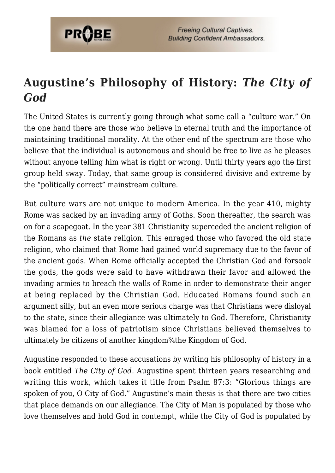

# **Augustine's Philosophy of History:** *The City of God*

The United States is currently going through what some call a "culture war." On the one hand there are those who believe in eternal truth and the importance of maintaining traditional morality. At the other end of the spectrum are those who believe that the individual is autonomous and should be free to live as he pleases without anyone telling him what is right or wrong. Until thirty years ago the first group held sway. Today, that same group is considered divisive and extreme by the "politically correct" mainstream culture.

But culture wars are not unique to modern America. In the year 410, mighty Rome was sacked by an invading army of Goths. Soon thereafter, the search was on for a scapegoat. In the year 381 Christianity superceded the ancient religion of the Romans as *the* state religion. This enraged those who favored the old state religion, who claimed that Rome had gained world supremacy due to the favor of the ancient gods. When Rome officially accepted the Christian God and forsook the gods, the gods were said to have withdrawn their favor and allowed the invading armies to breach the walls of Rome in order to demonstrate their anger at being replaced by the Christian God. Educated Romans found such an argument silly, but an even more serious charge was that Christians were disloyal to the state, since their allegiance was ultimately to God. Therefore, Christianity was blamed for a loss of patriotism since Christians believed themselves to ultimately be citizens of another kingdom¼the Kingdom of God.

Augustine responded to these accusations by writing his philosophy of history in a book entitled *The City of God*. Augustine spent thirteen years researching and writing this work, which takes it title from Psalm 87:3: "Glorious things are spoken of you, O City of God." Augustine's main thesis is that there are two cities that place demands on our allegiance. The City of Man is populated by those who love themselves and hold God in contempt, while the City of God is populated by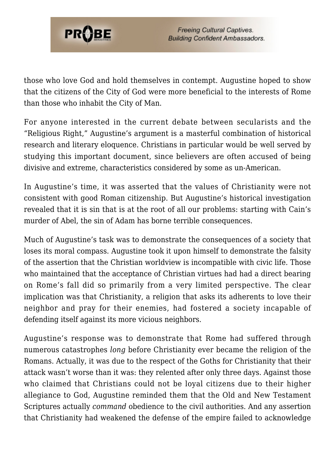

those who love God and hold themselves in contempt. Augustine hoped to show that the citizens of the City of God were more beneficial to the interests of Rome than those who inhabit the City of Man.

For anyone interested in the current debate between secularists and the "Religious Right," Augustine's argument is a masterful combination of historical research and literary eloquence. Christians in particular would be well served by studying this important document, since believers are often accused of being divisive and extreme, characteristics considered by some as un-American.

In Augustine's time, it was asserted that the values of Christianity were not consistent with good Roman citizenship. But Augustine's historical investigation revealed that it is sin that is at the root of all our problems: starting with Cain's murder of Abel, the sin of Adam has borne terrible consequences.

Much of Augustine's task was to demonstrate the consequences of a society that loses its moral compass. Augustine took it upon himself to demonstrate the falsity of the assertion that the Christian worldview is incompatible with civic life. Those who maintained that the acceptance of Christian virtues had had a direct bearing on Rome's fall did so primarily from a very limited perspective. The clear implication was that Christianity, a religion that asks its adherents to love their neighbor and pray for their enemies, had fostered a society incapable of defending itself against its more vicious neighbors.

Augustine's response was to demonstrate that Rome had suffered through numerous catastrophes *long* before Christianity ever became the religion of the Romans. Actually, it was due to the respect of the Goths for Christianity that their attack wasn't worse than it was: they relented after only three days. Against those who claimed that Christians could not be loyal citizens due to their higher allegiance to God, Augustine reminded them that the Old and New Testament Scriptures actually *command* obedience to the civil authorities. And any assertion that Christianity had weakened the defense of the empire failed to acknowledge